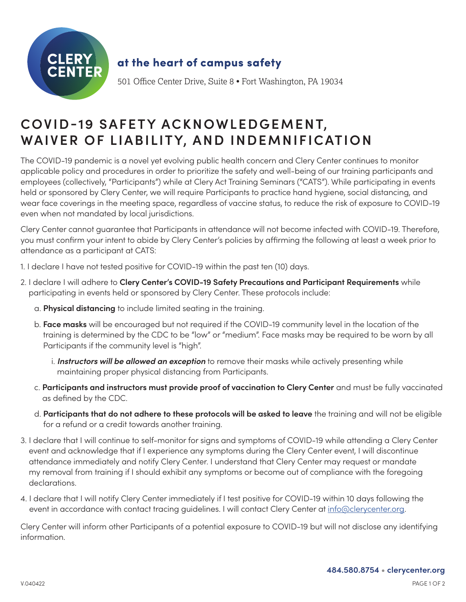

## **COVID-19 SAFETY ACKNOWLEDGEMENT, WAIVER OF LIABILITY, AND INDEMNIFICATION**

The COVID-19 pandemic is a novel yet evolving public health concern and Clery Center continues to monitor applicable policy and procedures in order to prioritize the safety and well-being of our training participants and employees (collectively, "Participants") while at Clery Act Training Seminars ("CATS"). While participating in events held or sponsored by Clery Center, we will require Participants to practice hand hygiene, social distancing, and wear face coverings in the meeting space, regardless of vaccine status, to reduce the risk of exposure to COVID-19 even when not mandated by local jurisdictions.

Clery Center cannot guarantee that Participants in attendance will not become infected with COVID-19. Therefore, you must confirm your intent to abide by Clery Center's policies by affirming the following at least a week prior to attendance as a participant at CATS:

- 1. I declare I have not tested positive for COVID-19 within the past ten (10) days.
- 2. I declare I will adhere to **Clery Center's COVID-19 Safety Precautions and Participant Requirements** while participating in events held or sponsored by Clery Center. These protocols include:
	- a. **Physical distancing** to include limited seating in the training.
	- b. **Face masks** will be encouraged but not required if the COVID-19 community level in the location of the training is determined by the CDC to be "low" or "medium". Face masks may be required to be worn by all Participants if the community level is "high".
		- i. *Instructors will be allowed an exception* to remove their masks while actively presenting while maintaining proper physical distancing from Participants.
	- c. **Participants and instructors must provide proof of vaccination to Clery Center** and must be fully vaccinated as defined by the CDC.
	- d. **Participants that do not adhere to these protocols will be asked to leave** the training and will not be eligible for a refund or a credit towards another training.
- 3. I declare that I will continue to self-monitor for signs and symptoms of COVID-19 while attending a Clery Center event and acknowledge that if I experience any symptoms during the Clery Center event, I will discontinue attendance immediately and notify Clery Center. I understand that Clery Center may request or mandate my removal from training if I should exhibit any symptoms or become out of compliance with the foregoing declarations.
- 4. I declare that I will notify Clery Center immediately if I test positive for COVID-19 within 10 days following the event in accordance with contact tracing guidelines. I will contact Clery Center at [info@clerycenter.org](mailto:info%40clerycenter.org?subject=).

Clery Center will inform other Participants of a potential exposure to COVID-19 but will not disclose any identifying information.